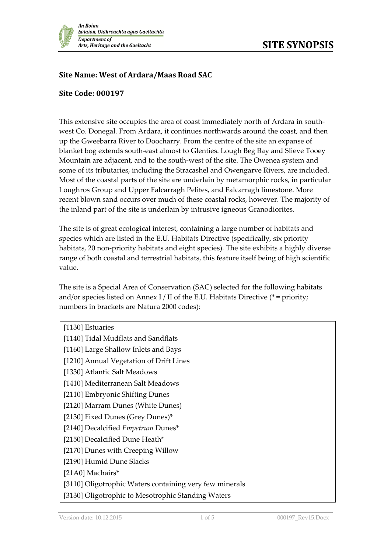

## **Site Name: West of Ardara/Maas Road SAC**

## **Site Code: 000197**

This extensive site occupies the area of coast immediately north of Ardara in southwest Co. Donegal. From Ardara, it continues northwards around the coast, and then up the Gweebarra River to Doocharry. From the centre of the site an expanse of blanket bog extends south-east almost to Glenties. Lough Beg Bay and Slieve Tooey Mountain are adjacent, and to the south-west of the site. The Owenea system and some of its tributaries, including the Stracashel and Owengarve Rivers, are included. Most of the coastal parts of the site are underlain by metamorphic rocks, in particular Loughros Group and Upper Falcarragh Pelites, and Falcarragh limestone. More recent blown sand occurs over much of these coastal rocks, however. The majority of the inland part of the site is underlain by intrusive igneous Granodiorites.

The site is of great ecological interest, containing a large number of habitats and species which are listed in the E.U. Habitats Directive (specifically, six priority habitats, 20 non-priority habitats and eight species). The site exhibits a highly diverse range of both coastal and terrestrial habitats, this feature itself being of high scientific value.

The site is a Special Area of Conservation (SAC) selected for the following habitats and/or species listed on Annex I / II of the E.U. Habitats Directive ( $*$  = priority; numbers in brackets are Natura 2000 codes):

| [1130] Estuaries                                        |
|---------------------------------------------------------|
| [1140] Tidal Mudflats and Sandflats                     |
| [1160] Large Shallow Inlets and Bays                    |
| [1210] Annual Vegetation of Drift Lines                 |
| [1330] Atlantic Salt Meadows                            |
| [1410] Mediterranean Salt Meadows                       |
| [2110] Embryonic Shifting Dunes                         |
| [2120] Marram Dunes (White Dunes)                       |
| [2130] Fixed Dunes (Grey Dunes)*                        |
| [2140] Decalcified Empetrum Dunes*                      |
| [2150] Decalcified Dune Heath*                          |
| [2170] Dunes with Creeping Willow                       |
| [2190] Humid Dune Slacks                                |
| [21A0] Machairs*                                        |
| [3110] Oligotrophic Waters containing very few minerals |
| [3130] Oligotrophic to Mesotrophic Standing Waters      |
|                                                         |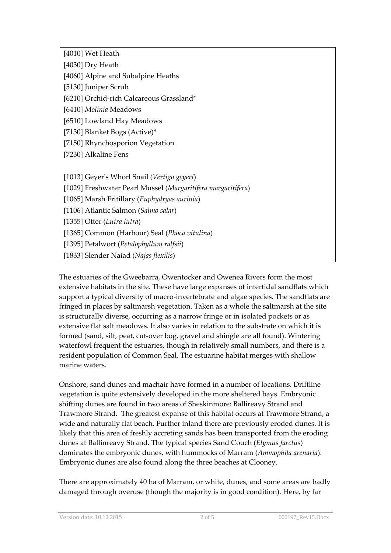[4010] Wet Heath

[4030] Dry Heath

[4060] Alpine and Subalpine Heaths

[5130] Juniper Scrub

[6210] Orchid-rich Calcareous Grassland\*

[6410] *Molinia* Meadows

[6510] Lowland Hay Meadows

[7130] Blanket Bogs (Active)\*

[7150] Rhynchosporion Vegetation

[7230] Alkaline Fens

[1013] Geyer's Whorl Snail (*Vertigo geyeri*)

[1029] Freshwater Pearl Mussel (*Margaritifera margaritifera*)

[1065] Marsh Fritillary (*Euphydryas aurinia*)

[1106] Atlantic Salmon (*Salmo salar*)

[1355] Otter (*Lutra lutra*)

[1365] Common (Harbour) Seal (*Phoca vitulina*)

[1395] Petalwort (*Petalophyllum ralfsii*)

[1833] Slender Naiad (*Najas flexilis*)

The estuaries of the Gweebarra, Owentocker and Owenea Rivers form the most extensive habitats in the site. These have large expanses of intertidal sandflats which support a typical diversity of macro-invertebrate and algae species. The sandflats are fringed in places by saltmarsh vegetation. Taken as a whole the saltmarsh at the site is structurally diverse, occurring as a narrow fringe or in isolated pockets or as extensive flat salt meadows. It also varies in relation to the substrate on which it is formed (sand, silt, peat, cut-over bog, gravel and shingle are all found). Wintering waterfowl frequent the estuaries, though in relatively small numbers, and there is a resident population of Common Seal. The estuarine habitat merges with shallow marine waters.

Onshore, sand dunes and machair have formed in a number of locations. Driftline vegetation is quite extensively developed in the more sheltered bays. Embryonic shifting dunes are found in two areas of Sheskinmore: Ballireavy Strand and Trawmore Strand. The greatest expanse of this habitat occurs at Trawmore Strand, a wide and naturally flat beach. Further inland there are previously eroded dunes. It is likely that this area of freshly accreting sands has been transported from the eroding dunes at Ballinreavy Strand. The typical species Sand Couch (*Elymus farctus*) dominates the embryonic dunes, with hummocks of Marram (*Ammophila arenaria*). Embryonic dunes are also found along the three beaches at Clooney.

There are approximately 40 ha of Marram, or white, dunes, and some areas are badly damaged through overuse (though the majority is in good condition). Here, by far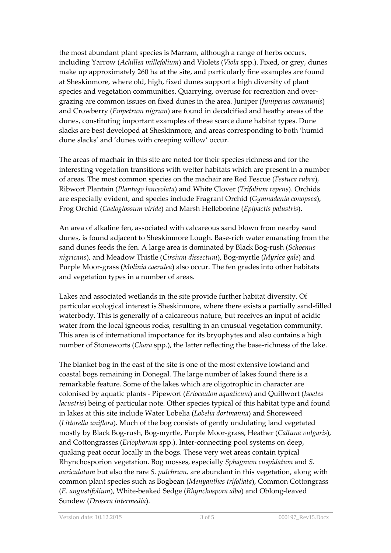the most abundant plant species is Marram, although a range of herbs occurs, including Yarrow (*Achillea millefolium*) and Violets (*Viola* spp.). Fixed, or grey, dunes make up approximately 260 ha at the site, and particularly fine examples are found at Sheskinmore, where old, high, fixed dunes support a high diversity of plant species and vegetation communities. Quarrying, overuse for recreation and overgrazing are common issues on fixed dunes in the area. Juniper (*Juniperus communis*) and Crowberry (*Empetrum nigrum*) are found in decalcified and heathy areas of the dunes, constituting important examples of these scarce dune habitat types. Dune slacks are best developed at Sheskinmore, and areas corresponding to both 'humid dune slacks' and 'dunes with creeping willow' occur.

The areas of machair in this site are noted for their species richness and for the interesting vegetation transitions with wetter habitats which are present in a number of areas. The most common species on the machair are Red Fescue (*Festuca rubra*), Ribwort Plantain (*Plantago lanceolata*) and White Clover (*Trifolium repens*). Orchids are especially evident, and species include Fragrant Orchid (*Gymnadenia conopsea*), Frog Orchid (*Coeloglossum viride*) and Marsh Helleborine (*Epipactis palustris*).

An area of alkaline fen, associated with calcareous sand blown from nearby sand dunes, is found adjacent to Sheskinmore Lough. Base-rich water emanating from the sand dunes feeds the fen. A large area is dominated by Black Bog-rush (*Schoenus nigricans*), and Meadow Thistle (*Cirsium dissectum*), Bog-myrtle (*Myrica gale*) and Purple Moor-grass (*Molinia caerulea*) also occur. The fen grades into other habitats and vegetation types in a number of areas.

Lakes and associated wetlands in the site provide further habitat diversity. Of particular ecological interest is Sheskinmore, where there exists a partially sand-filled waterbody. This is generally of a calcareous nature, but receives an input of acidic water from the local igneous rocks, resulting in an unusual vegetation community. This area is of international importance for its bryophytes and also contains a high number of Stoneworts (*Chara* spp.), the latter reflecting the base-richness of the lake.

The blanket bog in the east of the site is one of the most extensive lowland and coastal bogs remaining in Donegal. The large number of lakes found there is a remarkable feature. Some of the lakes which are oligotrophic in character are colonised by aquatic plants - Pipewort (*Eriocaulon aquaticum*) and Quillwort (*Isoetes lacustris*) being of particular note. Other species typical of this habitat type and found in lakes at this site include Water Lobelia (*Lobelia dortmanna*) and Shoreweed (*Littorella uniflora*). Much of the bog consists of gently undulating land vegetated mostly by Black Bog-rush, Bog-myrtle, Purple Moor-grass, Heather (*Calluna vulgaris*), and Cottongrasses (*Eriophorum* spp.). Inter-connecting pool systems on deep, quaking peat occur locally in the bogs. These very wet areas contain typical Rhynchosporion vegetation. Bog mosses, especially *Sphagnum cuspidatum* and *S. auriculatum* but also the rare *S. pulchrum,* are abundant in this vegetation, along with common plant species such as Bogbean (*Menyanthes trifoliata*), Common Cottongrass (*E. angustifolium*), White-beaked Sedge (*Rhynchospora alba*) and Oblong-leaved Sundew (*Drosera intermedia*).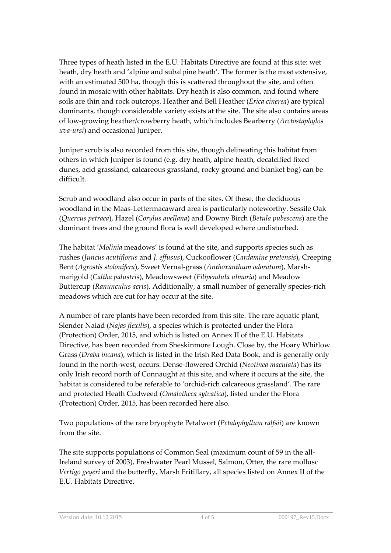Three types of heath listed in the E.U. Habitats Directive are found at this site: wet heath, dry heath and 'alpine and subalpine heath'. The former is the most extensive, with an estimated 500 ha, though this is scattered throughout the site, and often found in mosaic with other habitats. Dry heath is also common, and found where soils are thin and rock outcrops. Heather and Bell Heather (*Erica cinerea*) are typical dominants, though considerable variety exists at the site. The site also contains areas of low-growing heather/crowberry heath, which includes Bearberry (*Arctostaphylos uva-ursi*) and occasional Juniper.

Juniper scrub is also recorded from this site, though delineating this habitat from others in which Juniper is found (e.g. dry heath, alpine heath, decalcified fixed dunes, acid grassland, calcareous grassland, rocky ground and blanket bog) can be difficult.

Scrub and woodland also occur in parts of the sites. Of these, the deciduous woodland in the Maas-Lettermacaward area is particularly noteworthy. Sessile Oak (*Quercus petraea*), Hazel (*Corylus avellana*) and Downy Birch (*Betula pubescens*) are the dominant trees and the ground flora is well developed where undisturbed.

The habitat '*Molinia* meadows' is found at the site, and supports species such as rushes (*Juncus acutiflorus* and *J. effusus*), Cuckooflower (*Cardamine pratensis*), Creeping Bent (*Agrostis stolonifera*), Sweet Vernal-grass (*Anthoxanthum odoratum*), Marshmarigold (*Caltha palustris*), Meadowsweet (*Filipendula ulmaria*) and Meadow Buttercup (*Ranunculus acris*). Additionally, a small number of generally species-rich meadows which are cut for hay occur at the site.

A number of rare plants have been recorded from this site. The rare aquatic plant, Slender Naiad (*Najas flexilis*), a species which is protected under the Flora (Protection) Order, 2015, and which is listed on Annex II of the E.U. Habitats Directive, has been recorded from Sheskinmore Lough. Close by, the Hoary Whitlow Grass (*Draba incana*), which is listed in the Irish Red Data Book, and is generally only found in the north-west, occurs. Dense-flowered Orchid (*Neotinea maculata*) has its only Irish record north of Connaught at this site, and where it occurs at the site, the habitat is considered to be referable to 'orchid-rich calcareous grassland'. The rare and protected Heath Cudweed (*Omalotheca sylvatica*), listed under the Flora (Protection) Order, 2015, has been recorded here also.

Two populations of the rare bryophyte Petalwort (*Petalophyllum ralfsii*) are known from the site.

The site supports populations of Common Seal (maximum count of 59 in the all-Ireland survey of 2003), Freshwater Pearl Mussel, Salmon, Otter, the rare mollusc *Vertigo geyeri* and the butterfly, Marsh Fritillary, all species listed on Annex II of the E.U. Habitats Directive.